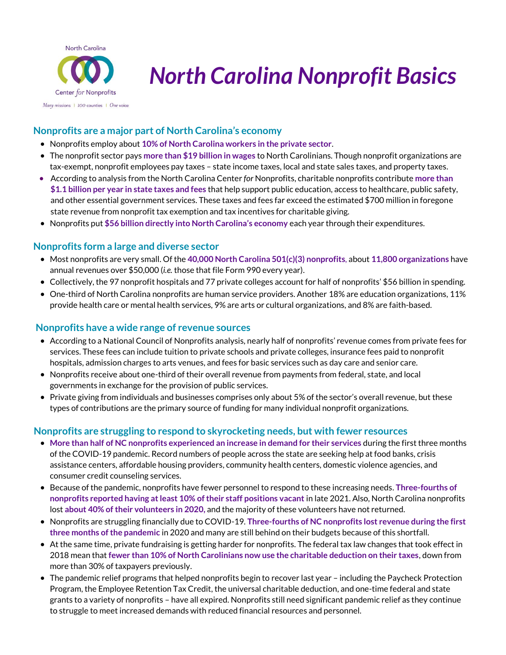

# *North Carolina Nonprofit Basics*

#### **Nonprofits are a major part of North Carolina's economy**

- Nonprofits employ about **10% of North Carolina workers in the private sector**.
- The nonprofit sector pays **more than \$19 billion in wages** to North Carolinians. Though nonprofit organizations are tax-exempt, nonprofit employees pay taxes – state income taxes, local and state sales taxes, and property taxes.
- According to analysis from the North Carolina Center *for* Nonprofits, charitable nonprofits contribute **more than \$1.1 billion per year in state taxes and fees** that help support public education, access to healthcare, public safety, and other essential government services. These taxes and fees far exceed the estimated \$700 million in foregone state revenue from nonprofit tax exemption and tax incentives for charitable giving.
- Nonprofits put **\$56 billion directly into North Carolina's economy** each year through their expenditures.

#### **Nonprofits form a large and diverse sector**

- Most nonprofits are very small. Of the **40,000 North Carolina 501(c)(3) nonprofits**, about **11,800 organizations** have annual revenues over \$50,000 (*i.e.* those that file Form 990 every year).
- Collectively, the 97 nonprofit hospitals and 77 private colleges account for half of nonprofits' \$56 billion in spending.
- One-third of North Carolina nonprofits are human service providers. Another 18% are education organizations, 11% provide health care or mental health services, 9% are arts or cultural organizations, and 8% are faith-based.

#### **Nonprofits have a wide range of revenue sources**

- According to a National Council of Nonprofits analysis, nearly half of nonprofits' revenue comes from private fees for services. These fees can include tuition to private schools and private colleges, insurance fees paid to nonprofit hospitals, admission charges to arts venues, and fees for basic services such as day care and senior care.
- Nonprofits receive about one-third of their overall revenue from payments from federal, state, and local governments in exchange for the provision of public services.
- Private giving from individuals and businesses comprises only about 5% of the sector's overall revenue, but these types of contributions are the primary source of funding for many individual nonprofit organizations.

#### **Nonprofits are struggling to respond to skyrocketing needs, but with fewer resources**

- **More than half of NC nonprofits experienced an increase in demand for their services** during the first three months of the COVID-19 pandemic. Record numbers of people across the state are seeking help at food banks, crisis assistance centers, affordable housing providers, community health centers, domestic violence agencies, and consumer credit counseling services.
- Because of the pandemic, nonprofits have fewer personnel to respond to these increasing needs. **Three-fourths of nonprofits reported having at least 10% of their staff positions vacant** in late 2021. Also, North Carolina nonprofits lost **about 40% of their volunteers in 2020,** and the majority of these volunteers have not returned.
- Nonprofits are struggling financially due to COVID-19. **Three-fourths of NC nonprofits lost revenue during the first three months of the pandemic** in 2020 and many are still behind on their budgets because of this shortfall.
- At the same time, private fundraising is getting harder for nonprofits. The federal tax law changes that took effect in 2018 mean that **fewer than 10% of North Carolinians now use the charitable deduction on their taxes**, down from more than 30% of taxpayers previously.
- The pandemic relief programs that helped nonprofits begin to recover last year including the Paycheck Protection Program, the Employee Retention Tax Credit, the universal charitable deduction, and one-time federal and state grants to a variety of nonprofits – have all expired. Nonprofits still need significant pandemic relief as they continue to struggle to meet increased demands with reduced financial resources and personnel.